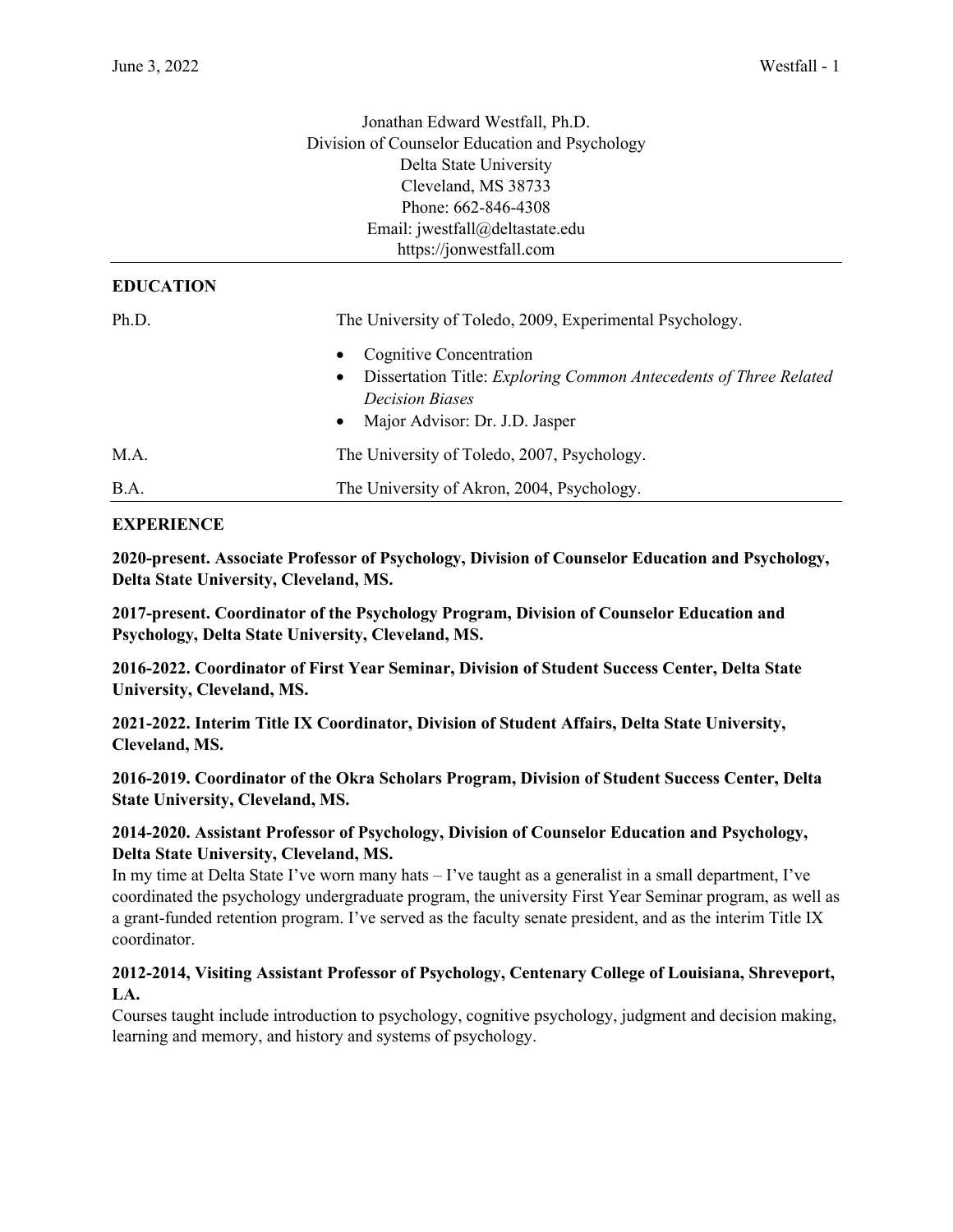|                  | Jonathan Edward Westfall, Ph.D.                                   |
|------------------|-------------------------------------------------------------------|
|                  | Division of Counselor Education and Psychology                    |
|                  | Delta State University                                            |
|                  | Cleveland, MS 38733                                               |
|                  | Phone: 662-846-4308                                               |
|                  | Email: jwestfall@deltastate.edu                                   |
|                  | https://jonwestfall.com                                           |
| <b>EDUCATION</b> |                                                                   |
| Ph.D.            | The University of Toledo, 2009, Experimental Psychology.          |
|                  | <b>Cognitive Concentration</b>                                    |
|                  | Dissertation Title: Exploring Common Antecedents of Three Related |
|                  | <b>Decision Biases</b>                                            |
|                  | Major Advisor: Dr. J.D. Jasper                                    |
| M.A.             | The University of Toledo, 2007, Psychology.                       |
| B.A.             | The University of Akron, 2004, Psychology.                        |

## **EXPERIENCE**

**2020-present. Associate Professor of Psychology, Division of Counselor Education and Psychology, Delta State University, Cleveland, MS.**

**2017-present. Coordinator of the Psychology Program, Division of Counselor Education and Psychology, Delta State University, Cleveland, MS.**

**2016-2022. Coordinator of First Year Seminar, Division of Student Success Center, Delta State University, Cleveland, MS.**

**2021-2022. Interim Title IX Coordinator, Division of Student Affairs, Delta State University, Cleveland, MS.**

**2016-2019. Coordinator of the Okra Scholars Program, Division of Student Success Center, Delta State University, Cleveland, MS.**

## **2014-2020. Assistant Professor of Psychology, Division of Counselor Education and Psychology, Delta State University, Cleveland, MS.**

In my time at Delta State I've worn many hats – I've taught as a generalist in a small department, I've coordinated the psychology undergraduate program, the university First Year Seminar program, as well as a grant-funded retention program. I've served as the faculty senate president, and as the interim Title IX coordinator.

## **2012-2014, Visiting Assistant Professor of Psychology, Centenary College of Louisiana, Shreveport, LA.**

Courses taught include introduction to psychology, cognitive psychology, judgment and decision making, learning and memory, and history and systems of psychology.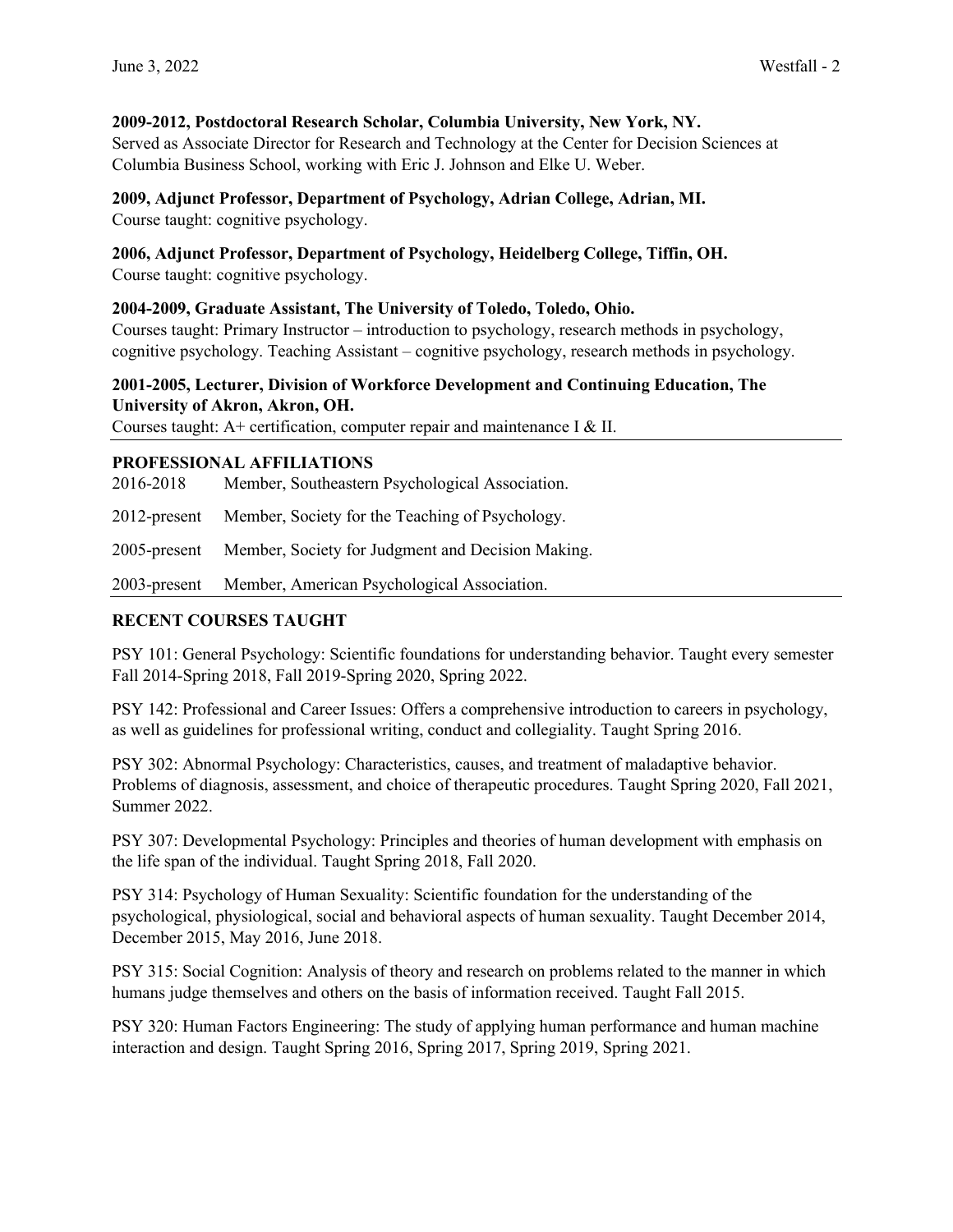## **2009-2012, Postdoctoral Research Scholar, Columbia University, New York, NY.**

Served as Associate Director for Research and Technology at the Center for Decision Sciences at Columbia Business School, working with Eric J. Johnson and Elke U. Weber.

## **2009, Adjunct Professor, Department of Psychology, Adrian College, Adrian, MI.**

Course taught: cognitive psychology.

## **2006, Adjunct Professor, Department of Psychology, Heidelberg College, Tiffin, OH.**

Course taught: cognitive psychology.

## **2004-2009, Graduate Assistant, The University of Toledo, Toledo, Ohio.**

Courses taught: Primary Instructor – introduction to psychology, research methods in psychology, cognitive psychology. Teaching Assistant – cognitive psychology, research methods in psychology.

# **2001-2005, Lecturer, Division of Workforce Development and Continuing Education, The University of Akron, Akron, OH.**

Courses taught: A+ certification, computer repair and maintenance I & II.

## **PROFESSIONAL AFFILIATIONS**

| 2016-2018 | Member, Southeastern Psychological Association. |
|-----------|-------------------------------------------------|
|           |                                                 |

2012-present Member, Society for the Teaching of Psychology.

2005-present Member, Society for Judgment and Decision Making.

2003-present Member, American Psychological Association.

# **RECENT COURSES TAUGHT**

PSY 101: General Psychology: Scientific foundations for understanding behavior. Taught every semester Fall 2014-Spring 2018, Fall 2019-Spring 2020, Spring 2022.

PSY 142: Professional and Career Issues: Offers a comprehensive introduction to careers in psychology, as well as guidelines for professional writing, conduct and collegiality. Taught Spring 2016.

PSY 302: Abnormal Psychology: Characteristics, causes, and treatment of maladaptive behavior. Problems of diagnosis, assessment, and choice of therapeutic procedures. Taught Spring 2020, Fall 2021, Summer 2022.

PSY 307: Developmental Psychology: Principles and theories of human development with emphasis on the life span of the individual. Taught Spring 2018, Fall 2020.

PSY 314: Psychology of Human Sexuality: Scientific foundation for the understanding of the psychological, physiological, social and behavioral aspects of human sexuality. Taught December 2014, December 2015, May 2016, June 2018.

PSY 315: Social Cognition: Analysis of theory and research on problems related to the manner in which humans judge themselves and others on the basis of information received. Taught Fall 2015.

PSY 320: Human Factors Engineering: The study of applying human performance and human machine interaction and design. Taught Spring 2016, Spring 2017, Spring 2019, Spring 2021.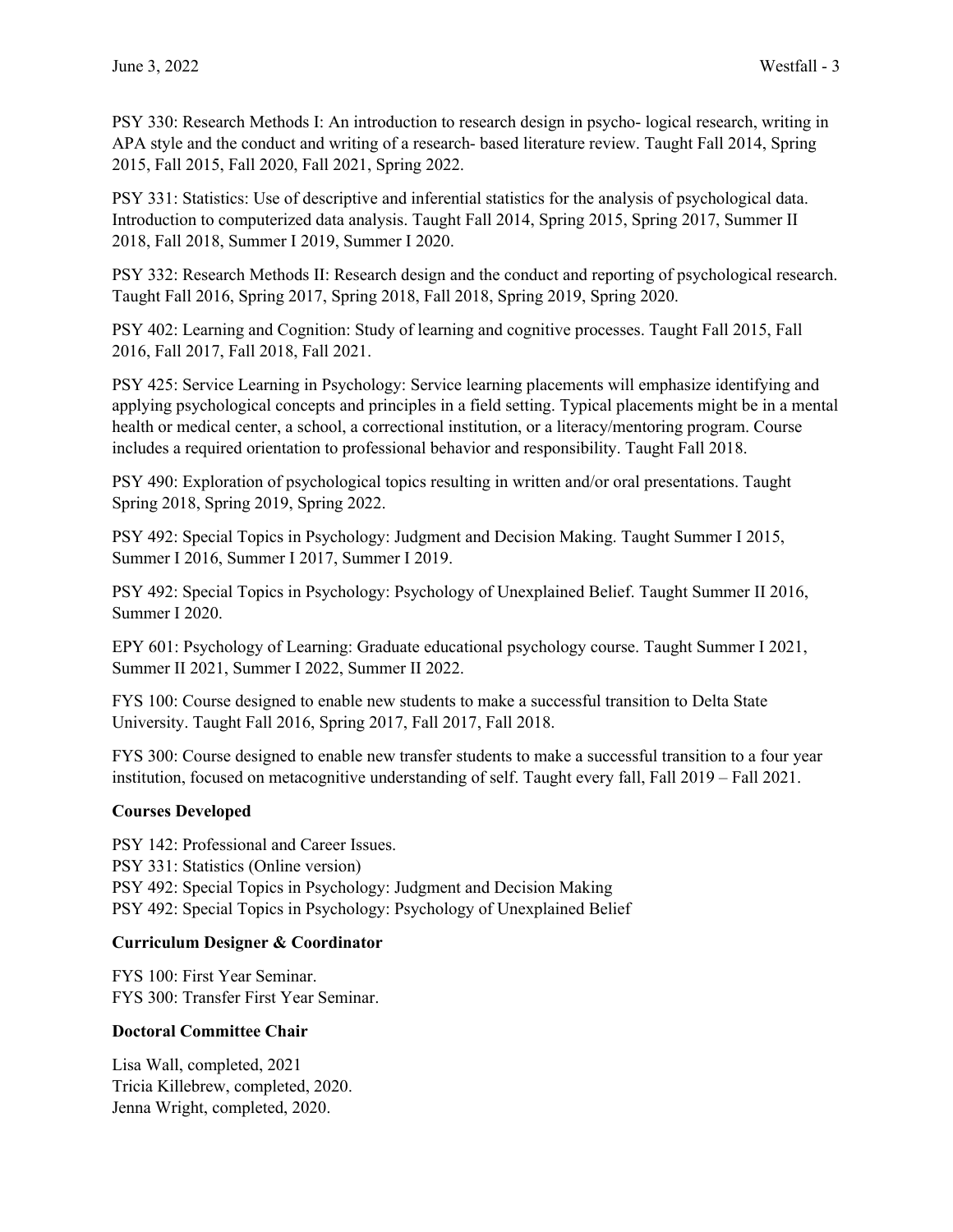PSY 330: Research Methods I: An introduction to research design in psycho- logical research, writing in APA style and the conduct and writing of a research- based literature review. Taught Fall 2014, Spring 2015, Fall 2015, Fall 2020, Fall 2021, Spring 2022.

PSY 331: Statistics: Use of descriptive and inferential statistics for the analysis of psychological data. Introduction to computerized data analysis. Taught Fall 2014, Spring 2015, Spring 2017, Summer II 2018, Fall 2018, Summer I 2019, Summer I 2020.

PSY 332: Research Methods II: Research design and the conduct and reporting of psychological research. Taught Fall 2016, Spring 2017, Spring 2018, Fall 2018, Spring 2019, Spring 2020.

PSY 402: Learning and Cognition: Study of learning and cognitive processes. Taught Fall 2015, Fall 2016, Fall 2017, Fall 2018, Fall 2021.

PSY 425: Service Learning in Psychology: Service learning placements will emphasize identifying and applying psychological concepts and principles in a field setting. Typical placements might be in a mental health or medical center, a school, a correctional institution, or a literacy/mentoring program. Course includes a required orientation to professional behavior and responsibility. Taught Fall 2018.

PSY 490: Exploration of psychological topics resulting in written and/or oral presentations. Taught Spring 2018, Spring 2019, Spring 2022.

PSY 492: Special Topics in Psychology: Judgment and Decision Making. Taught Summer I 2015, Summer I 2016, Summer I 2017, Summer I 2019.

PSY 492: Special Topics in Psychology: Psychology of Unexplained Belief. Taught Summer II 2016, Summer I 2020.

EPY 601: Psychology of Learning: Graduate educational psychology course. Taught Summer I 2021, Summer II 2021, Summer I 2022, Summer II 2022.

FYS 100: Course designed to enable new students to make a successful transition to Delta State University. Taught Fall 2016, Spring 2017, Fall 2017, Fall 2018.

FYS 300: Course designed to enable new transfer students to make a successful transition to a four year institution, focused on metacognitive understanding of self. Taught every fall, Fall 2019 – Fall 2021.

## **Courses Developed**

PSY 142: Professional and Career Issues. PSY 331: Statistics (Online version) PSY 492: Special Topics in Psychology: Judgment and Decision Making PSY 492: Special Topics in Psychology: Psychology of Unexplained Belief

## **Curriculum Designer & Coordinator**

FYS 100: First Year Seminar. FYS 300: Transfer First Year Seminar.

## **Doctoral Committee Chair**

Lisa Wall, completed, 2021 Tricia Killebrew, completed, 2020. Jenna Wright, completed, 2020.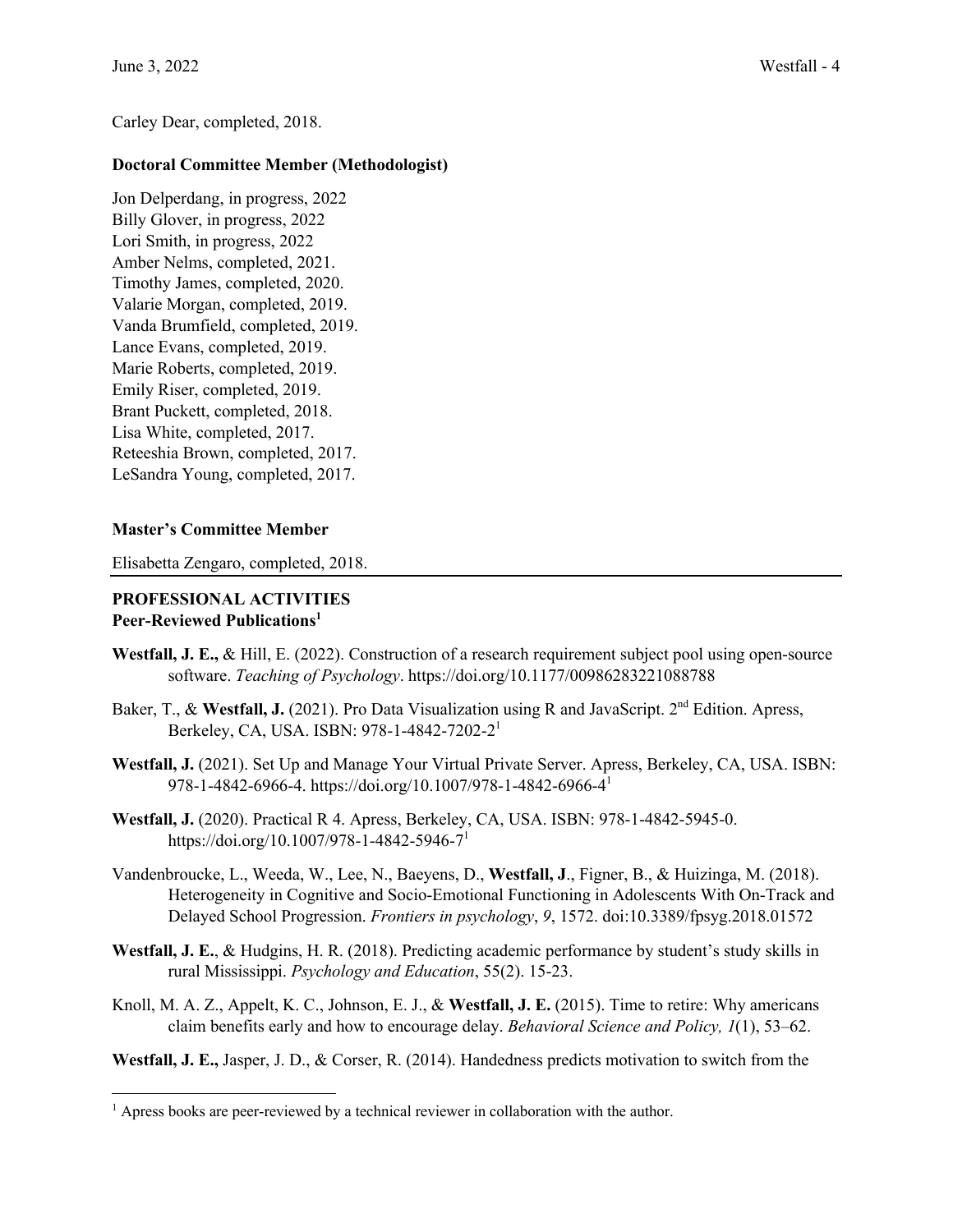Carley Dear, completed, 2018.

## **Doctoral Committee Member (Methodologist)**

Jon Delperdang, in progress, 2022 Billy Glover, in progress, 2022 Lori Smith, in progress, 2022 Amber Nelms, completed, 2021. Timothy James, completed, 2020. Valarie Morgan, completed, 2019. Vanda Brumfield, completed, 2019. Lance Evans, completed, 2019. Marie Roberts, completed, 2019. Emily Riser, completed, 2019. Brant Puckett, completed, 2018. Lisa White, completed, 2017. Reteeshia Brown, completed, 2017. LeSandra Young, completed, 2017.

## **Master's Committee Member**

Elisabetta Zengaro, completed, 2018.

### **PROFESSIONAL ACTIVITIES Peer-Reviewed Publications1**

- **Westfall, J. E.,** & Hill, E. (2022). Construction of a research requirement subject pool using open-source software. *Teaching of Psychology*. https://doi.org/10.1177/00986283221088788
- Baker, T., & Westfall, J. (2021). Pro Data Visualization using R and JavaScript. 2<sup>nd</sup> Edition. Apress, Berkeley, CA, USA. ISBN: 978-1-4842-7202-21
- **Westfall, J.** (2021). Set Up and Manage Your Virtual Private Server. Apress, Berkeley, CA, USA. ISBN: 978-1-4842-6966-4. https://doi.org/10.1007/978-1-4842-6966-41
- **Westfall, J.** (2020). Practical R 4. Apress, Berkeley, CA, USA. ISBN: 978-1-4842-5945-0. https://doi.org/10.1007/978-1-4842-5946-71
- Vandenbroucke, L., Weeda, W., Lee, N., Baeyens, D., **Westfall, J**., Figner, B., & Huizinga, M. (2018). Heterogeneity in Cognitive and Socio-Emotional Functioning in Adolescents With On-Track and Delayed School Progression. *Frontiers in psychology*, *9*, 1572. doi:10.3389/fpsyg.2018.01572
- **Westfall, J. E.**, & Hudgins, H. R. (2018). Predicting academic performance by student's study skills in rural Mississippi. *Psychology and Education*, 55(2). 15-23.
- Knoll, M. A. Z., Appelt, K. C., Johnson, E. J., & **Westfall, J. E.** (2015). Time to retire: Why americans claim benefits early and how to encourage delay. *Behavioral Science and Policy, 1*(1), 53–62.

**Westfall, J. E.,** Jasper, J. D., & Corser, R. (2014). Handedness predicts motivation to switch from the

<sup>&</sup>lt;sup>1</sup> Apress books are peer-reviewed by a technical reviewer in collaboration with the author.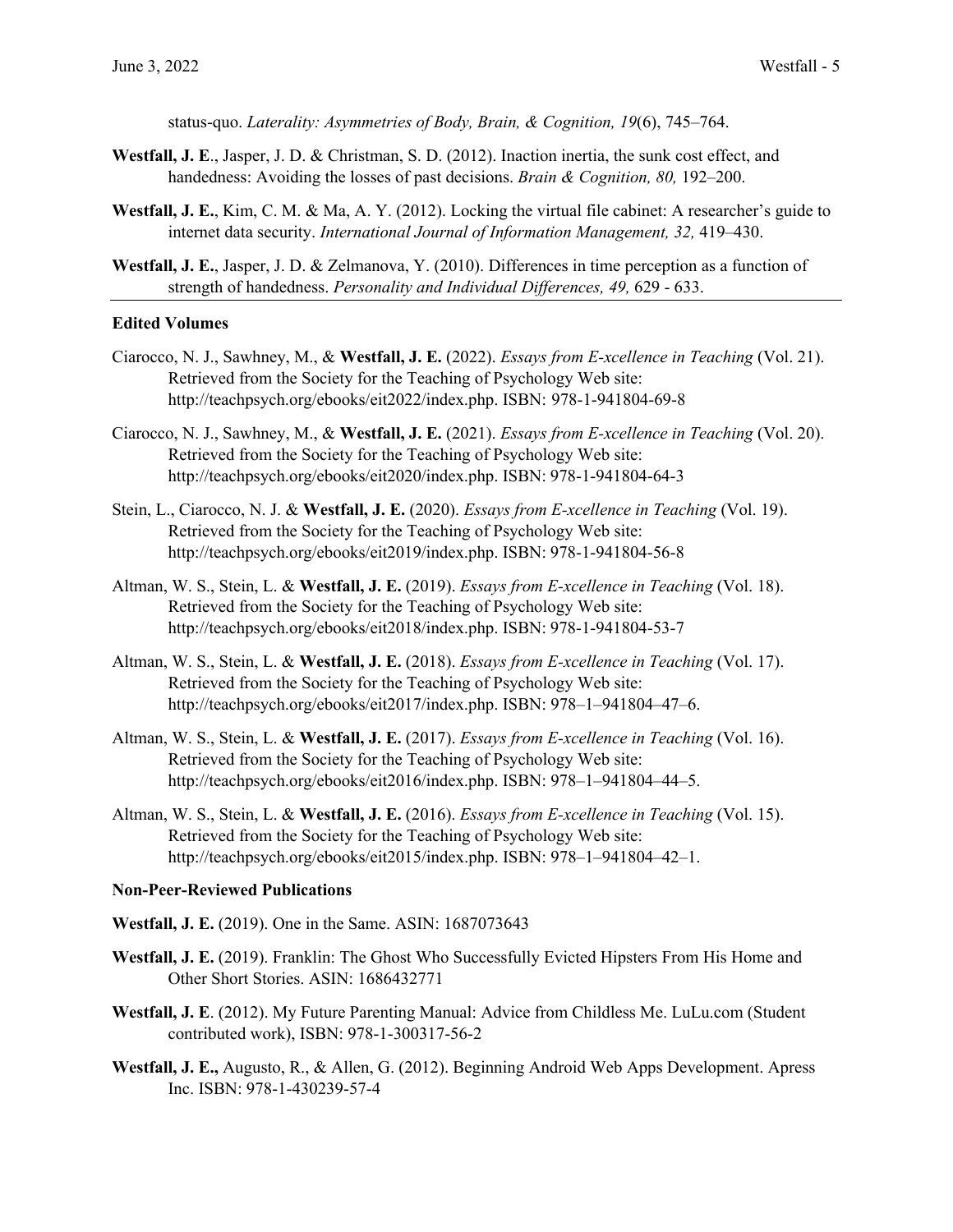status-quo. *Laterality: Asymmetries of Body, Brain, & Cognition, 19*(6), 745–764.

- **Westfall, J. E**., Jasper, J. D. & Christman, S. D. (2012). Inaction inertia, the sunk cost effect, and handedness: Avoiding the losses of past decisions. *Brain & Cognition, 80,* 192–200.
- **Westfall, J. E.**, Kim, C. M. & Ma, A. Y. (2012). Locking the virtual file cabinet: A researcher's guide to internet data security. *International Journal of Information Management, 32,* 419–430.
- **Westfall, J. E.**, Jasper, J. D. & Zelmanova, Y. (2010). Differences in time perception as a function of strength of handedness. *Personality and Individual Differences, 49,* 629 - 633.

#### **Edited Volumes**

- Ciarocco, N. J., Sawhney, M., & **Westfall, J. E.** (2022). *Essays from E-xcellence in Teaching* (Vol. 21). Retrieved from the Society for the Teaching of Psychology Web site: http://teachpsych.org/ebooks/eit2022/index.php. ISBN: 978-1-941804-69-8
- Ciarocco, N. J., Sawhney, M., & **Westfall, J. E.** (2021). *Essays from E-xcellence in Teaching* (Vol. 20). Retrieved from the Society for the Teaching of Psychology Web site: http://teachpsych.org/ebooks/eit2020/index.php. ISBN: 978-1-941804-64-3
- Stein, L., Ciarocco, N. J. & **Westfall, J. E.** (2020). *Essays from E-xcellence in Teaching* (Vol. 19). Retrieved from the Society for the Teaching of Psychology Web site: http://teachpsych.org/ebooks/eit2019/index.php. ISBN: 978-1-941804-56-8
- Altman, W. S., Stein, L. & **Westfall, J. E.** (2019). *Essays from E-xcellence in Teaching* (Vol. 18). Retrieved from the Society for the Teaching of Psychology Web site: http://teachpsych.org/ebooks/eit2018/index.php. ISBN: 978-1-941804-53-7
- Altman, W. S., Stein, L. & **Westfall, J. E.** (2018). *Essays from E-xcellence in Teaching* (Vol. 17). Retrieved from the Society for the Teaching of Psychology Web site: http://teachpsych.org/ebooks/eit2017/index.php. ISBN: 978–1–941804–47–6.
- Altman, W. S., Stein, L. & **Westfall, J. E.** (2017). *Essays from E-xcellence in Teaching* (Vol. 16). Retrieved from the Society for the Teaching of Psychology Web site: http://teachpsych.org/ebooks/eit2016/index.php. ISBN: 978–1–941804–44–5.
- Altman, W. S., Stein, L. & **Westfall, J. E.** (2016). *Essays from E-xcellence in Teaching* (Vol. 15). Retrieved from the Society for the Teaching of Psychology Web site: http://teachpsych.org/ebooks/eit2015/index.php. ISBN: 978–1–941804–42–1.

#### **Non-Peer-Reviewed Publications**

- **Westfall, J. E.** (2019). One in the Same. ASIN: 1687073643
- **Westfall, J. E.** (2019). Franklin: The Ghost Who Successfully Evicted Hipsters From His Home and Other Short Stories. ASIN: 1686432771
- **Westfall, J. E**. (2012). My Future Parenting Manual: Advice from Childless Me. LuLu.com (Student contributed work), ISBN: 978-1-300317-56-2
- **Westfall, J. E.,** Augusto, R., & Allen, G. (2012). Beginning Android Web Apps Development. Apress Inc. ISBN: 978-1-430239-57-4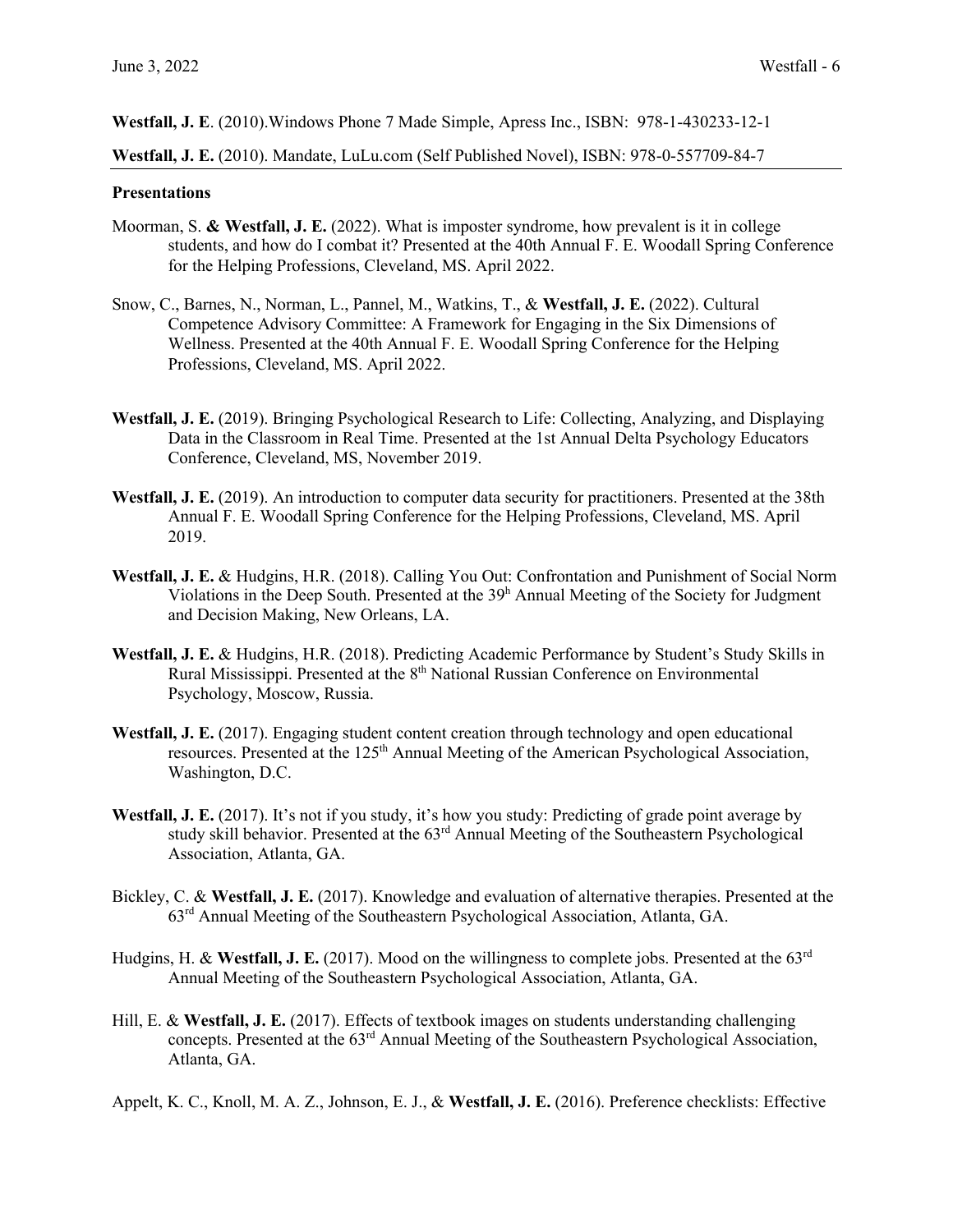**Westfall, J. E**. (2010).Windows Phone 7 Made Simple, Apress Inc., ISBN: 978-1-430233-12-1

**Westfall, J. E.** (2010). Mandate, LuLu.com (Self Published Novel), ISBN: 978-0-557709-84-7

#### **Presentations**

- Moorman, S. **& Westfall, J. E.** (2022). What is imposter syndrome, how prevalent is it in college students, and how do I combat it? Presented at the 40th Annual F. E. Woodall Spring Conference for the Helping Professions, Cleveland, MS. April 2022.
- Snow, C., Barnes, N., Norman, L., Pannel, M., Watkins, T., & **Westfall, J. E.** (2022). Cultural Competence Advisory Committee: A Framework for Engaging in the Six Dimensions of Wellness. Presented at the 40th Annual F. E. Woodall Spring Conference for the Helping Professions, Cleveland, MS. April 2022.
- **Westfall, J. E.** (2019). Bringing Psychological Research to Life: Collecting, Analyzing, and Displaying Data in the Classroom in Real Time. Presented at the 1st Annual Delta Psychology Educators Conference, Cleveland, MS, November 2019.
- **Westfall, J. E.** (2019). An introduction to computer data security for practitioners. Presented at the 38th Annual F. E. Woodall Spring Conference for the Helping Professions, Cleveland, MS. April 2019.
- **Westfall, J. E.** & Hudgins, H.R. (2018). Calling You Out: Confrontation and Punishment of Social Norm Violations in the Deep South. Presented at the  $39<sup>h</sup>$  Annual Meeting of the Society for Judgment and Decision Making, New Orleans, LA.
- **Westfall, J. E.** & Hudgins, H.R. (2018). Predicting Academic Performance by Student's Study Skills in Rural Mississippi. Presented at the 8<sup>th</sup> National Russian Conference on Environmental Psychology, Moscow, Russia.
- **Westfall, J. E.** (2017). Engaging student content creation through technology and open educational resources. Presented at the 125<sup>th</sup> Annual Meeting of the American Psychological Association, Washington, D.C.
- **Westfall, J. E.** (2017). It's not if you study, it's how you study: Predicting of grade point average by study skill behavior. Presented at the 63<sup>rd</sup> Annual Meeting of the Southeastern Psychological Association, Atlanta, GA.
- Bickley, C. & **Westfall, J. E.** (2017). Knowledge and evaluation of alternative therapies. Presented at the 63rd Annual Meeting of the Southeastern Psychological Association, Atlanta, GA.
- Hudgins, H. & **Westfall, J. E.** (2017). Mood on the willingness to complete jobs. Presented at the 63rd Annual Meeting of the Southeastern Psychological Association, Atlanta, GA.
- Hill, E. & **Westfall, J. E.** (2017). Effects of textbook images on students understanding challenging concepts. Presented at the 63<sup>rd</sup> Annual Meeting of the Southeastern Psychological Association, Atlanta, GA.
- Appelt, K. C., Knoll, M. A. Z., Johnson, E. J., & **Westfall, J. E.** (2016). Preference checklists: Effective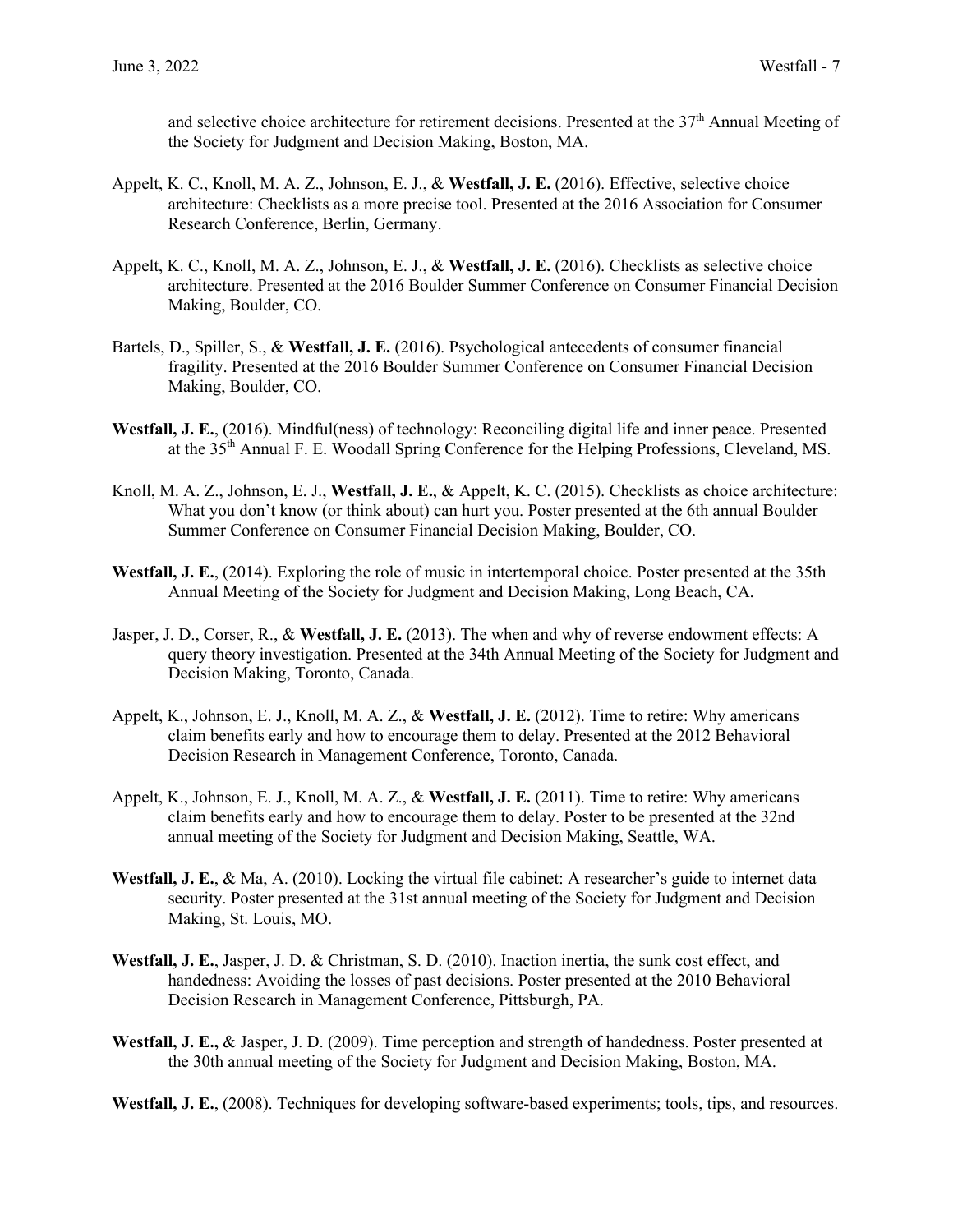and selective choice architecture for retirement decisions. Presented at the  $37<sup>th</sup>$  Annual Meeting of the Society for Judgment and Decision Making, Boston, MA.

- Appelt, K. C., Knoll, M. A. Z., Johnson, E. J., & **Westfall, J. E.** (2016). Effective, selective choice architecture: Checklists as a more precise tool. Presented at the 2016 Association for Consumer Research Conference, Berlin, Germany.
- Appelt, K. C., Knoll, M. A. Z., Johnson, E. J., & **Westfall, J. E.** (2016). Checklists as selective choice architecture. Presented at the 2016 Boulder Summer Conference on Consumer Financial Decision Making, Boulder, CO.
- Bartels, D., Spiller, S., & **Westfall, J. E.** (2016). Psychological antecedents of consumer financial fragility. Presented at the 2016 Boulder Summer Conference on Consumer Financial Decision Making, Boulder, CO.
- **Westfall, J. E.**, (2016). Mindful(ness) of technology: Reconciling digital life and inner peace. Presented at the  $35<sup>th</sup>$  Annual F. E. Woodall Spring Conference for the Helping Professions, Cleveland, MS.
- Knoll, M. A. Z., Johnson, E. J., **Westfall, J. E.**, & Appelt, K. C. (2015). Checklists as choice architecture: What you don't know (or think about) can hurt you. Poster presented at the 6th annual Boulder Summer Conference on Consumer Financial Decision Making, Boulder, CO.
- **Westfall, J. E.**, (2014). Exploring the role of music in intertemporal choice. Poster presented at the 35th Annual Meeting of the Society for Judgment and Decision Making, Long Beach, CA.
- Jasper, J. D., Corser, R., & **Westfall, J. E.** (2013). The when and why of reverse endowment effects: A query theory investigation. Presented at the 34th Annual Meeting of the Society for Judgment and Decision Making, Toronto, Canada.
- Appelt, K., Johnson, E. J., Knoll, M. A. Z., & **Westfall, J. E.** (2012). Time to retire: Why americans claim benefits early and how to encourage them to delay. Presented at the 2012 Behavioral Decision Research in Management Conference, Toronto, Canada.
- Appelt, K., Johnson, E. J., Knoll, M. A. Z., & **Westfall, J. E.** (2011). Time to retire: Why americans claim benefits early and how to encourage them to delay. Poster to be presented at the 32nd annual meeting of the Society for Judgment and Decision Making, Seattle, WA.
- **Westfall, J. E.**, & Ma, A. (2010). Locking the virtual file cabinet: A researcher's guide to internet data security. Poster presented at the 31st annual meeting of the Society for Judgment and Decision Making, St. Louis, MO.
- **Westfall, J. E.**, Jasper, J. D. & Christman, S. D. (2010). Inaction inertia, the sunk cost effect, and handedness: Avoiding the losses of past decisions. Poster presented at the 2010 Behavioral Decision Research in Management Conference, Pittsburgh, PA.
- **Westfall, J. E.,** & Jasper, J. D. (2009). Time perception and strength of handedness. Poster presented at the 30th annual meeting of the Society for Judgment and Decision Making, Boston, MA.

**Westfall, J. E.**, (2008). Techniques for developing software-based experiments; tools, tips, and resources.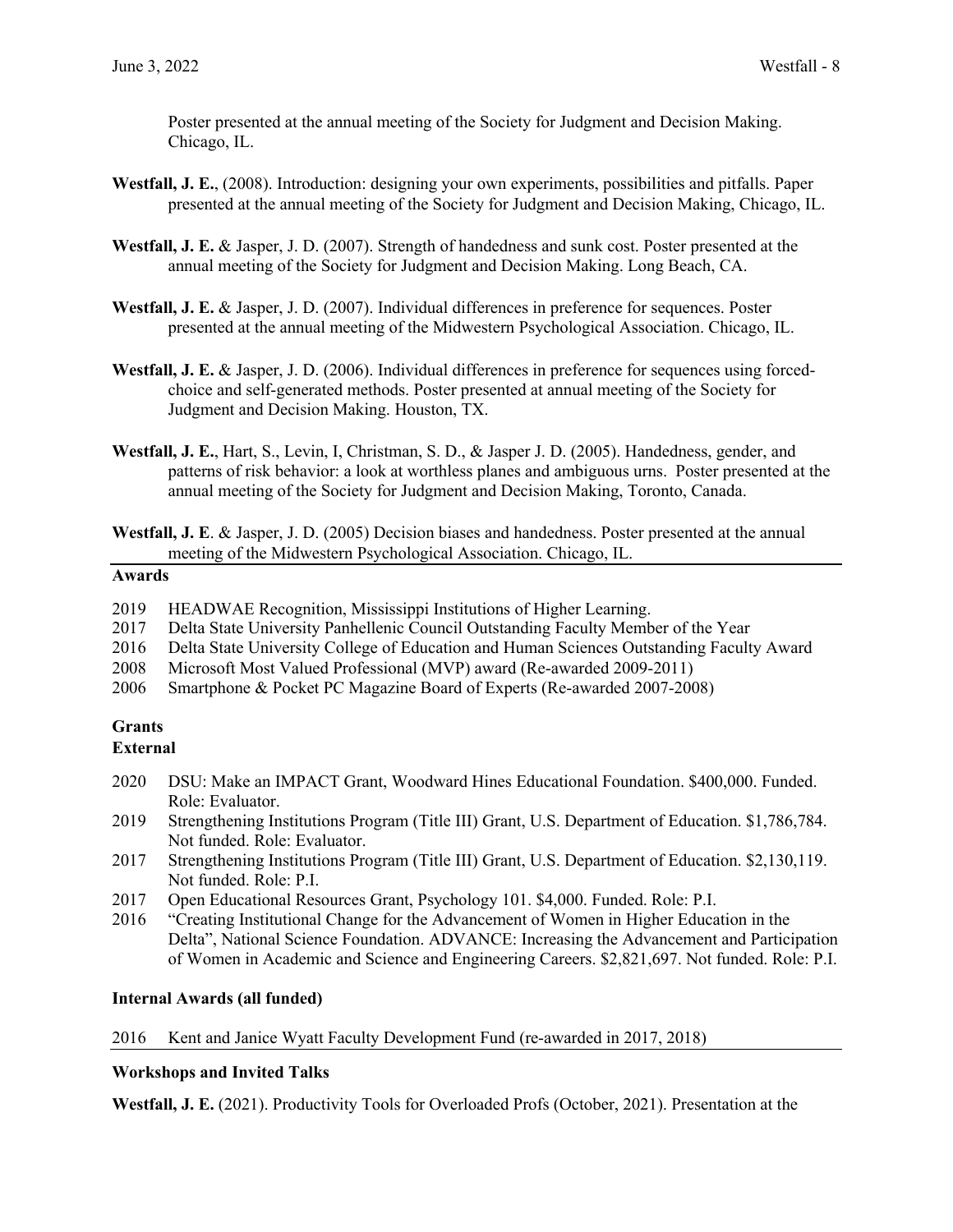Poster presented at the annual meeting of the Society for Judgment and Decision Making. Chicago, IL.

- **Westfall, J. E.**, (2008). Introduction: designing your own experiments, possibilities and pitfalls. Paper presented at the annual meeting of the Society for Judgment and Decision Making, Chicago, IL.
- **Westfall, J. E.** & Jasper, J. D. (2007). Strength of handedness and sunk cost. Poster presented at the annual meeting of the Society for Judgment and Decision Making. Long Beach, CA.
- **Westfall, J. E.** & Jasper, J. D. (2007). Individual differences in preference for sequences. Poster presented at the annual meeting of the Midwestern Psychological Association. Chicago, IL.
- **Westfall, J. E.** & Jasper, J. D. (2006). Individual differences in preference for sequences using forcedchoice and self-generated methods. Poster presented at annual meeting of the Society for Judgment and Decision Making. Houston, TX.
- **Westfall, J. E.**, Hart, S., Levin, I, Christman, S. D., & Jasper J. D. (2005). Handedness, gender, and patterns of risk behavior: a look at worthless planes and ambiguous urns. Poster presented at the annual meeting of the Society for Judgment and Decision Making, Toronto, Canada.
- **Westfall, J. E**. & Jasper, J. D. (2005) Decision biases and handedness. Poster presented at the annual meeting of the Midwestern Psychological Association. Chicago, IL.

## **Awards**

- 2019 HEADWAE Recognition, Mississippi Institutions of Higher Learning.
- 2017 Delta State University Panhellenic Council Outstanding Faculty Member of the Year
- 2016 Delta State University College of Education and Human Sciences Outstanding Faculty Award
- 2008 Microsoft Most Valued Professional (MVP) award (Re-awarded 2009-2011)
- 2006 Smartphone & Pocket PC Magazine Board of Experts (Re-awarded 2007-2008)

# **Grants**

## **External**

- 2020 DSU: Make an IMPACT Grant, Woodward Hines Educational Foundation. \$400,000. Funded. Role: Evaluator.
- 2019 Strengthening Institutions Program (Title III) Grant, U.S. Department of Education. \$1,786,784. Not funded. Role: Evaluator.
- 2017 Strengthening Institutions Program (Title III) Grant, U.S. Department of Education. \$2,130,119. Not funded. Role: P.I.
- 2017 Open Educational Resources Grant, Psychology 101. \$4,000. Funded. Role: P.I.
- 2016 "Creating Institutional Change for the Advancement of Women in Higher Education in the Delta", National Science Foundation. ADVANCE: Increasing the Advancement and Participation of Women in Academic and Science and Engineering Careers. \$2,821,697. Not funded. Role: P.I.

## **Internal Awards (all funded)**

### 2016 Kent and Janice Wyatt Faculty Development Fund (re-awarded in 2017, 2018)

### **Workshops and Invited Talks**

**Westfall, J. E.** (2021). Productivity Tools for Overloaded Profs (October, 2021). Presentation at the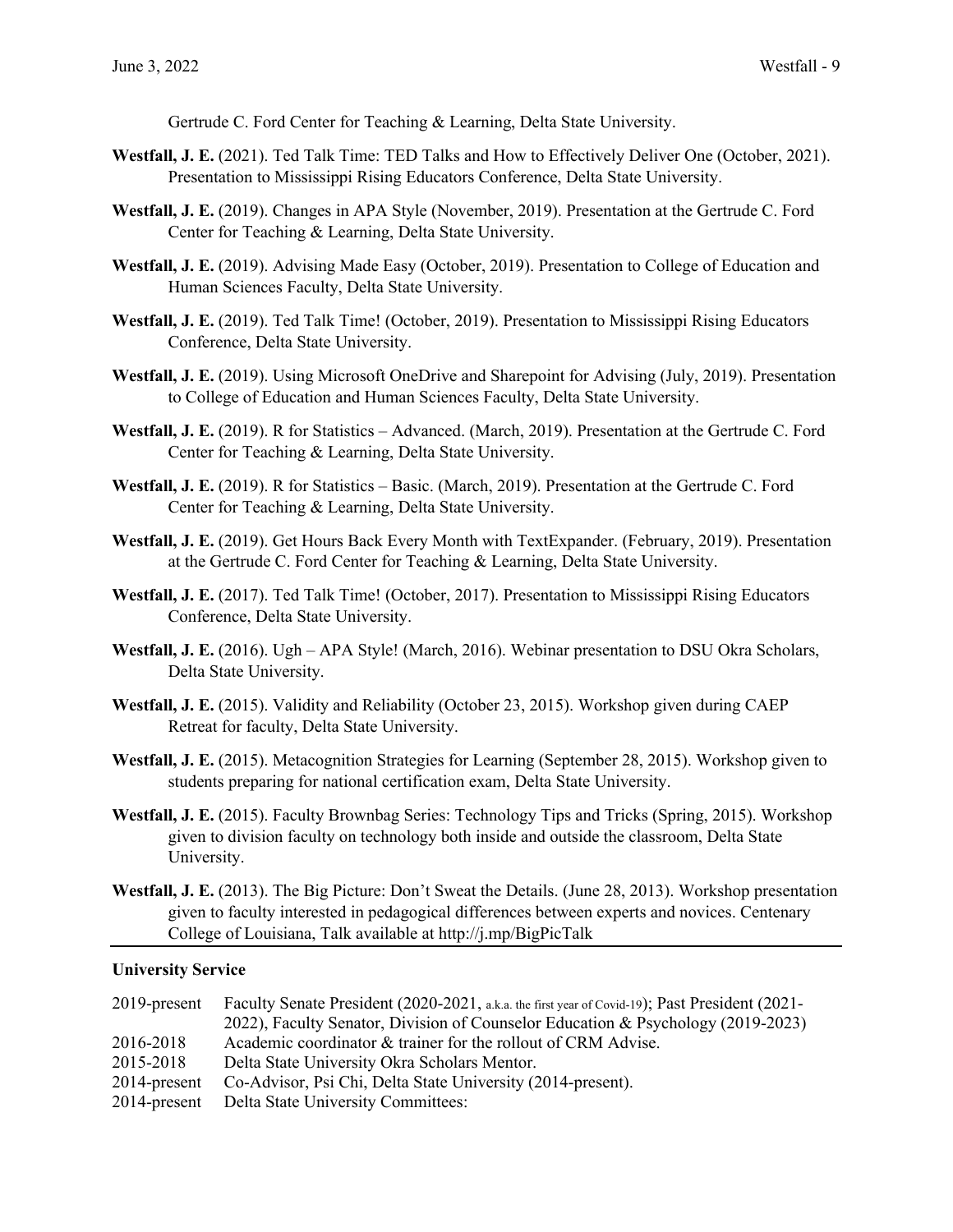Gertrude C. Ford Center for Teaching & Learning, Delta State University.

- **Westfall, J. E.** (2021). Ted Talk Time: TED Talks and How to Effectively Deliver One (October, 2021). Presentation to Mississippi Rising Educators Conference, Delta State University.
- **Westfall, J. E.** (2019). Changes in APA Style (November, 2019). Presentation at the Gertrude C. Ford Center for Teaching & Learning, Delta State University.
- **Westfall, J. E.** (2019). Advising Made Easy (October, 2019). Presentation to College of Education and Human Sciences Faculty, Delta State University.
- **Westfall, J. E.** (2019). Ted Talk Time! (October, 2019). Presentation to Mississippi Rising Educators Conference, Delta State University.
- Westfall, J. E. (2019). Using Microsoft OneDrive and Sharepoint for Advising (July, 2019). Presentation to College of Education and Human Sciences Faculty, Delta State University.
- **Westfall, J. E.** (2019). R for Statistics Advanced. (March, 2019). Presentation at the Gertrude C. Ford Center for Teaching & Learning, Delta State University.
- **Westfall, J. E.** (2019). R for Statistics Basic. (March, 2019). Presentation at the Gertrude C. Ford Center for Teaching & Learning, Delta State University.
- **Westfall, J. E.** (2019). Get Hours Back Every Month with TextExpander. (February, 2019). Presentation at the Gertrude C. Ford Center for Teaching & Learning, Delta State University.
- **Westfall, J. E.** (2017). Ted Talk Time! (October, 2017). Presentation to Mississippi Rising Educators Conference, Delta State University.
- Westfall, J. E. (2016). Ugh APA Style! (March, 2016). Webinar presentation to DSU Okra Scholars, Delta State University.
- **Westfall, J. E.** (2015). Validity and Reliability (October 23, 2015). Workshop given during CAEP Retreat for faculty, Delta State University.
- **Westfall, J. E.** (2015). Metacognition Strategies for Learning (September 28, 2015). Workshop given to students preparing for national certification exam, Delta State University.
- **Westfall, J. E.** (2015). Faculty Brownbag Series: Technology Tips and Tricks (Spring, 2015). Workshop given to division faculty on technology both inside and outside the classroom, Delta State University.
- **Westfall, J. E.** (2013). The Big Picture: Don't Sweat the Details. (June 28, 2013). Workshop presentation given to faculty interested in pedagogical differences between experts and novices. Centenary College of Louisiana, Talk available at http://j.mp/BigPicTalk

### **University Service**

| $2019$ -present | Faculty Senate President (2020-2021, a.k.a. the first year of Covid-19); Past President (2021- |
|-----------------|------------------------------------------------------------------------------------------------|
|                 | 2022), Faculty Senator, Division of Counselor Education & Psychology (2019-2023)               |
| 2016-2018       | Academic coordinator & trainer for the rollout of CRM Advise.                                  |
| 2015-2018       | Delta State University Okra Scholars Mentor.                                                   |
| $2014$ -present | Co-Advisor, Psi Chi, Delta State University (2014-present).                                    |
|                 | 2014-present Delta State University Committees:                                                |